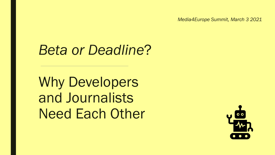*Media4Europe Summit, March 3 2021*

# *Beta or Deadline*?

Why Developers and Journalists Need Each Other

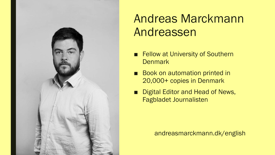

## Andreas Marckmann Andreassen

- Fellow at University of Southern **Denmark**
- Book on automation printed in 20,000+ copies in Denmark
- Digital Editor and Head of News, Fagbladet Journalisten

andreasmarckmann.dk/english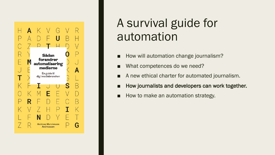

## A survival guide for automation

- How will automation change journalism?
- What competences do we need?
- A new ethical charter for automated journalism.
- How journalists and developers can work together.
- How to make an automation strategy.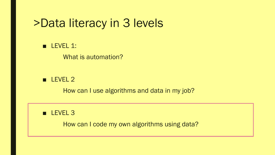## >Data literacy in 3 levels

#### **■ LEVEL 1:**

What is automation?

#### ■ LEVEL 2

How can I use algorithms and data in my job?

### ■ LEVEL 3

How can I code my own algorithms using data?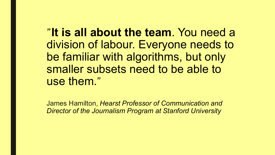"**It is all about the team**. You need a division of labour. Everyone needs to be familiar with algorithms, but only smaller subsets need to be able to use them."

James Hamilton, *Hearst Professor of Communication and Director of the Journalism Program at Stanford University*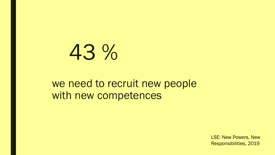# 43 %

### we need to recruit new people with new competences

LSE: New Powers, New Responsibilities, 2019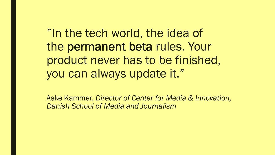"In the tech world, the idea of the permanent beta rules. Your product never has to be finished, you can always update it."

Aske Kammer, *Director of Center for Media & Innovation, Danish School of Media and Journalism*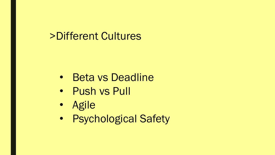### >Different Cultures

- Beta vs Deadline
- Push vs Pull
- Agile
- Psychological Safety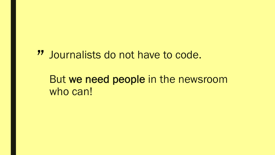# Journalists do not have to code. "

### But we need people in the newsroom who can!